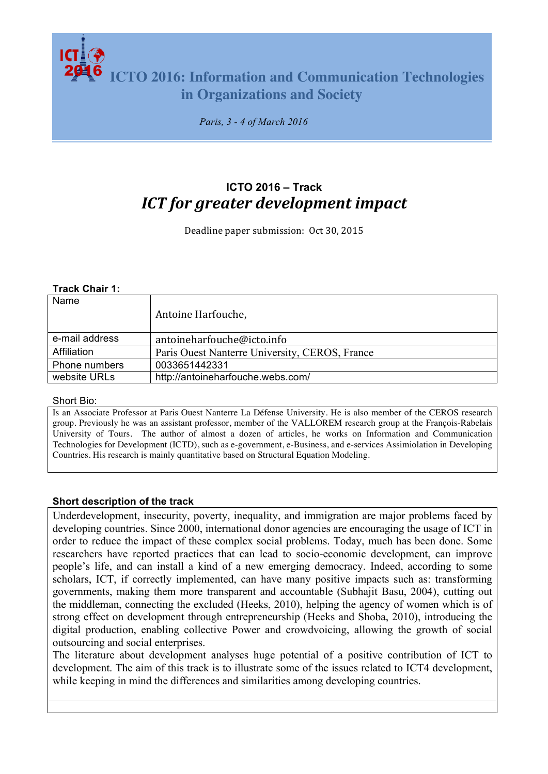**ICTO 2016: Information and Communication Technologies in Organizations and Society**

*Paris, 3 - 4 of March 2016*

# **ICTO 2016 – Track** *ICT for greater development impact*

Deadline paper submission: Oct 30, 2015

#### **Track Chair 1:**

| Name           | Antoine Harfouche,                             |
|----------------|------------------------------------------------|
| e-mail address | antoineharfouche@icto.info                     |
| Affiliation    | Paris Ouest Nanterre University, CEROS, France |
| Phone numbers  | 0033651442331                                  |
| website URLs   | http://antoineharfouche.webs.com/              |

Short Bio:

Is an Associate Professor at Paris Ouest Nanterre La Défense University. He is also member of the CEROS research group. Previously he was an assistant professor, member of the VALLOREM research group at the François-Rabelais University of Tours. The author of almost a dozen of articles, he works on Information and Communication Technologies for Development (ICTD), such as e-government, e-Business, and e-services Assimiolation in Developing Countries. His research is mainly quantitative based on Structural Equation Modeling.

### **Short description of the track**

Underdevelopment, insecurity, poverty, inequality, and immigration are major problems faced by developing countries. Since 2000, international donor agencies are encouraging the usage of ICT in order to reduce the impact of these complex social problems. Today, much has been done. Some researchers have reported practices that can lead to socio-economic development, can improve people's life, and can install a kind of a new emerging democracy. Indeed, according to some scholars, ICT, if correctly implemented, can have many positive impacts such as: transforming governments, making them more transparent and accountable (Subhajit Basu, 2004), cutting out the middleman, connecting the excluded (Heeks, 2010), helping the agency of women which is of strong effect on development through entrepreneurship (Heeks and Shoba, 2010), introducing the digital production, enabling collective Power and crowdvoicing, allowing the growth of social outsourcing and social enterprises.

The literature about development analyses huge potential of a positive contribution of ICT to development. The aim of this track is to illustrate some of the issues related to ICT4 development, while keeping in mind the differences and similarities among developing countries.